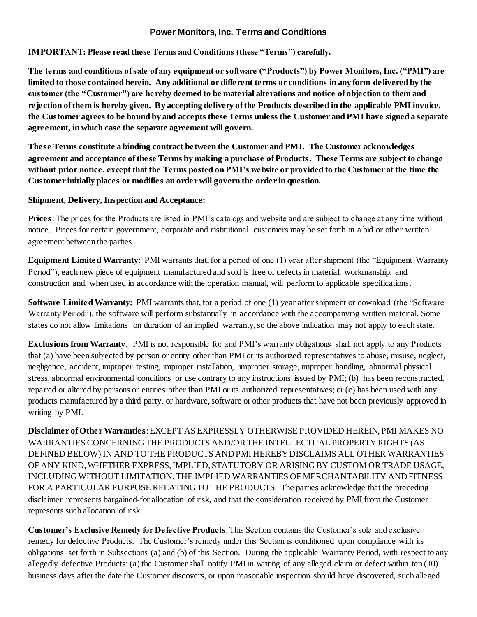## **Power Monitors, Inc. Terms and Conditions**

**IMPORTANT: Please read these Terms and Conditions (these "Terms") carefully.** 

**The terms and conditions of sale of any equipment or software ("Products") by Power Monitors, Inc. ("PMI") are limited to those contained herein. Any additional or different terms or conditions in any form delivered by the customer (the "Customer") are he reby deemed to be material alterations and notice of objection to them and rejection of them is hereby given. By accepting delivery of the Products described in the applicable PMI invoice, the Customer agrees to be bound by and accepts these Terms unless the Customer and PMI have signed a separate agreement, in which case the separate agreement will govern.** 

**These Terms constitute a binding contract between the Customer and PMI. The Customer acknowledges agreement and acceptance of these Terms by making a purchase of Products. These Terms are subject to change without prior notice, except that the Terms posted on PMI's website or provided to the Customer at the time the Customer initially places or modifies an order will govern the order in question.**

## **Shipment, Delivery, Inspection and Acceptance:**

**Prices**: The prices for the Products are listed in PMI's catalogs and website and are subject to change at any time without notice. Prices for certain government, corporate and institutional customers may be set forth in a bid or other written agreement between the parties.

**Equipment Limited Warranty:** PMI warrants that, for a period of one (1) year after shipment (the "Equipment Warranty Period"), each new piece of equipment manufactured and sold is free of defects in material, workmanship, and construction and, when used in accordance with the operation manual, will perform to applicable specifications.

**Software Limited Warranty:** PMI warrants that, for a period of one (1) year after shipment or download (the "Software Warranty Period"), the software will perform substantially in accordance with the accompanying written material. Some states do not allow limitations on duration of an implied warranty, so the above indication may not apply to each state.

**Exclusions from Warranty**. PMI is not responsible for and PMI's warranty obligations shall not apply to any Products that (a) have been subjected by person or entity other than PMI or its authorized representatives to abuse, misuse, neglect, negligence, accident, improper testing, improper installation, improper storage, improper handling, abnormal physical stress, abnormal environmental conditions or use contrary to any instructions issued by PMI; (b) has been reconstructed, repaired or altered by persons or entities other than PMI or its authorized representatives; or (c) has been used with any products manufactured by a third party, or hardware, software or other products that have not been previously approved in writing by PMI.

**Disclaimer of Other Warranties**: EXCEPT AS EXPRESSLY OTHERWISE PROVIDED HEREIN, PMI MAKES NO WARRANTIES CONCERNING THE PRODUCTS AND/OR THE INTELLECTUAL PROPERTY RIGHTS (AS DEFINED BELOW) IN AND TO THE PRODUCTS AND PMI HEREBY DISCLAIMS ALL OTHER WARRANTIES OF ANY KIND, WHETHER EXPRESS, IMPLIED, STATUTORY OR ARISING BY CUSTOM OR TRADE USAGE, INCLUDING WITHOUT LIMITATION, THE IMPLIED WARRANTIES OF MERCHANTABILITY AND FITNESS FOR A PARTICULAR PURPOSE RELATING TO THE PRODUCTS. The parties acknowledge that the preceding disclaimer represents bargained-for allocation of risk, and that the consideration received by PMI from the Customer represents such allocation of risk.

**Customer's Exclusive Remedy for Defective Products**: This Section contains the Customer's sole and exclusive remedy for defective Products. The Customer's remedy under this Section is conditioned upon compliance with its obligations set forth in Subsections (a) and (b) of this Section. During the applicable Warranty Period, with respect to any allegedly defective Products: (a) the Customer shall notify PMI in writing of any alleged claim or defect within ten (10) business days after the date the Customer discovers, or upon reasonable inspection should have discovered, such alleged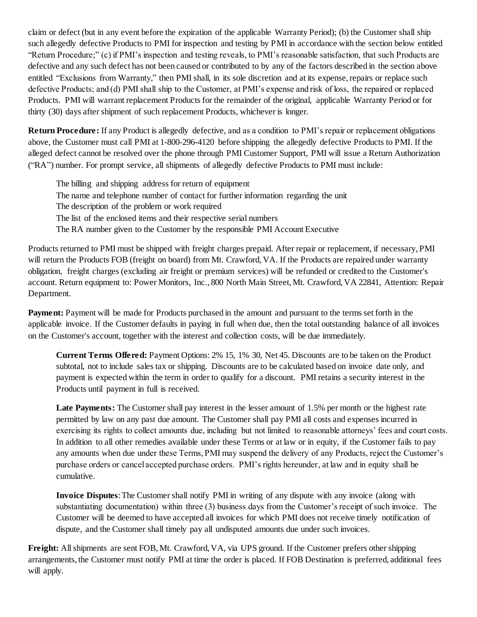claim or defect (but in any event before the expiration of the applicable Warranty Period); (b) the Customer shall ship such allegedly defective Products to PMI for inspection and testing by PMI in accordance with the section below entitled "Return Procedure;" (c) if PMI's inspection and testing reveals, to PMI's reasonable satisfaction, that such Products are defective and any such defect has not been caused or contributed to by any of the factors described in the section above entitled "Exclusions from Warranty," then PMI shall, in its sole discretion and at its expense, repairs or replace such defective Products; and (d) PMI shall ship to the Customer, at PMI's expense and risk of loss, the repaired or replaced Products. PMI will warrant replacement Products for the remainder of the original, applicable Warranty Period or for thirty (30) days after shipment of such replacement Products, whichever is longer.

**Return Procedure:** If any Product is allegedly defective, and as a condition to PMI's repair or replacement obligations above, the Customer must call PMI at 1-800-296-4120 before shipping the allegedly defective Products to PMI. If the alleged defect cannot be resolved over the phone through PMI Customer Support, PMI will issue a Return Authorization ("RA") number. For prompt service, all shipments of allegedly defective Products to PMI must include:

The billing and shipping address for return of equipment The name and telephone number of contact for further information regarding the unit The description of the problem or work required The list of the enclosed items and their respective serial numbers The RA number given to the Customer by the responsible PMI Account Executive

Products returned to PMI must be shipped with freight charges prepaid. After repair or replacement, if necessary, PMI will return the Products FOB (freight on board) from Mt. Crawford, VA. If the Products are repaired under warranty obligation, freight charges (excluding air freight or premium services) will be refunded or credited to the Customer's account. Return equipment to: Power Monitors, Inc., 800 North Main Street, Mt. Crawford, VA 22841, Attention: Repair Department.

**Payment:** Payment will be made for Products purchased in the amount and pursuant to the terms set forth in the applicable invoice. If the Customer defaults in paying in full when due, then the total outstanding balance of all invoices on the Customer's account, together with the interest and collection costs, will be due immediately.

**Current Terms Offered:** Payment Options: 2% 15, 1% 30, Net 45. Discounts are to be taken on the Product subtotal, not to include sales tax or shipping. Discounts are to be calculated based on invoice date only, and payment is expected within the term in order to qualify for a discount. PMI retains a security interest in the Products until payment in full is received.

Late Payments: The Customer shall pay interest in the lesser amount of 1.5% per month or the highest rate permitted by law on any past due amount. The Customer shall pay PMI all costs and expenses incurred in exercising its rights to collect amounts due, including but not limited to reasonable attorneys' fees and court costs. In addition to all other remedies available under these Terms or at law or in equity, if the Customer fails to pay any amounts when due under these Terms, PMI may suspend the delivery of any Products, reject the Customer's purchase orders or cancel accepted purchase orders. PMI's rights hereunder, at law and in equity shall be cumulative.

**Invoice Disputes**: The Customer shall notify PMI in writing of any dispute with any invoice (along with substantiating documentation) within three (3) business days from the Customer's receipt of such invoice. The Customer will be deemed to have accepted all invoices for which PMI does not receive timely notification of dispute, and the Customer shall timely pay all undisputed amounts due under such invoices.

**Freight:** All shipments are sent FOB, Mt. Crawford, VA, via UPS ground. If the Customer prefers other shipping arrangements, the Customer must notify PMI at time the order is placed. If FOB Destination is preferred, additional fees will apply.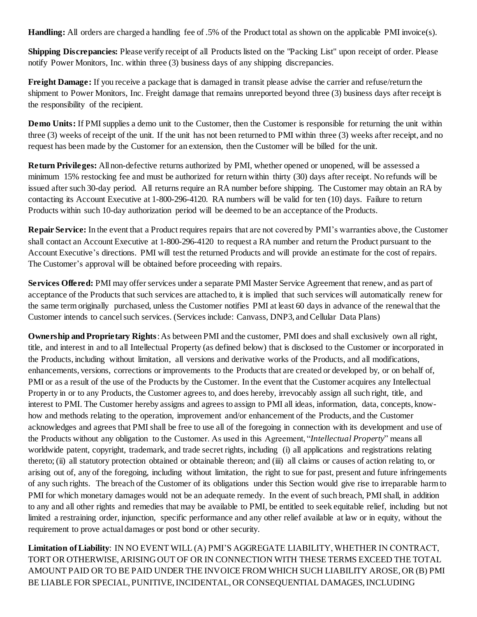**Handling:** All orders are charged a handling fee of .5% of the Product total as shown on the applicable PMI invoice(s).

**Shipping Discrepancies:** Please verify receipt of all Products listed on the "Packing List" upon receipt of order. Please notify Power Monitors, Inc. within three (3) business days of any shipping discrepancies.

**Freight Damage:** If you receive a package that is damaged in transit please advise the carrier and refuse/return the shipment to Power Monitors, Inc. Freight damage that remains unreported beyond three (3) business days after receipt is the responsibility of the recipient.

**Demo Units:** If PMI supplies a demo unit to the Customer, then the Customer is responsible for returning the unit within three (3) weeks of receipt of the unit. If the unit has not been returned to PMI within three (3) weeks after receipt, and no request has been made by the Customer for an extension, then the Customer will be billed for the unit.

**Return Privileges:** All non-defective returns authorized by PMI, whether opened or unopened, will be assessed a minimum 15% restocking fee and must be authorized for return within thirty (30) days after receipt. No refunds will be issued after such 30-day period. All returns require an RA number before shipping. The Customer may obtain an RA by contacting its Account Executive at 1-800-296-4120. RA numbers will be valid for ten (10) days. Failure to return Products within such 10-day authorization period will be deemed to be an acceptance of the Products.

**Repair Service:** In the event that a Product requires repairs that are not covered by PMI's warranties above, the Customer shall contact an Account Executive at 1-800-296-4120 to request a RA number and return the Product pursuant to the Account Executive's directions. PMI will test the returned Products and will provide an estimate for the cost of repairs. The Customer's approval will be obtained before proceeding with repairs.

**Services Offered:** PMI may offer services under a separate PMI Master Service Agreement that renew, and as part of acceptance of the Products that such services are attached to, it is implied that such services will automatically renew for the same term originally purchased, unless the Customer notifies PMI at least 60 days in advance of the renewal that the Customer intends to cancel such services. (Services include: Canvass, DNP3, and Cellular Data Plans)

**Ownership and Proprietary Rights**: As between PMI and the customer, PMI does and shall exclusively own all right, title, and interest in and to all Intellectual Property (as defined below) that is disclosed to the Customer or incorporated in the Products, including without limitation, all versions and derivative works of the Products, and all modifications, enhancements, versions, corrections or improvements to the Products that are created or developed by, or on behalf of, PMI or as a result of the use of the Products by the Customer. In the event that the Customer acquires any Intellectual Property in or to any Products, the Customer agrees to, and does hereby, irrevocably assign all such right, title, and interest to PMI. The Customer hereby assigns and agrees to assign to PMI all ideas, information, data, concepts, knowhow and methods relating to the operation, improvement and/or enhancement of the Products, and the Customer acknowledges and agrees that PMI shall be free to use all of the foregoing in connection with its development and use of the Products without any obligation to the Customer. As used in this Agreement, "*Intellectual Property*" means all worldwide patent, copyright, trademark, and trade secret rights, including (i) all applications and registrations relating thereto; (ii) all statutory protection obtained or obtainable thereon; and (iii) all claims or causes of action relating to, or arising out of, any of the foregoing, including without limitation, the right to sue for past, present and future infringements of any such rights. The breach of the Customer of its obligations under this Section would give rise to irreparable harm to PMI for which monetary damages would not be an adequate remedy. In the event of such breach, PMI shall, in addition to any and all other rights and remedies that may be available to PMI, be entitled to seek equitable relief, including but not limited a restraining order, injunction, specific performance and any other relief available at law or in equity, without the requirement to prove actual damages or post bond or other security.

**Limitation of Liability**: IN NO EVENT WILL (A) PMI'S AGGREGATE LIABILITY, WHETHER IN CONTRACT, TORT OR OTHERWISE, ARISING OUT OF OR IN CONNECTION WITH THESE TERMS EXCEED THE TOTAL AMOUNT PAID OR TO BE PAID UNDER THE INVOICE FROM WHICH SUCH LIABILITY AROSE, OR (B) PMI BE LIABLE FOR SPECIAL, PUNITIVE, INCIDENTAL, OR CONSEQUENTIAL DAMAGES, INCLUDING